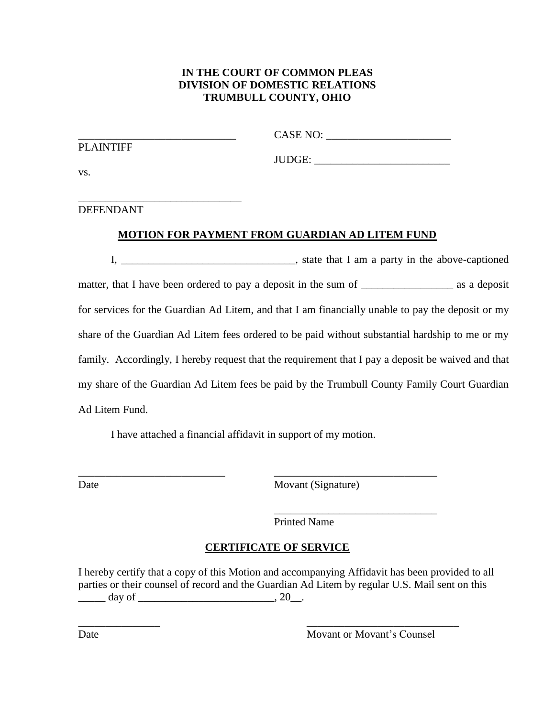## **IN THE COURT OF COMMON PLEAS DIVISION OF DOMESTIC RELATIONS TRUMBULL COUNTY, OHIO**

| <b>PLAINTIFF</b>                                |                                                       |
|-------------------------------------------------|-------------------------------------------------------|
|                                                 | JUDGE:                                                |
| VS.                                             |                                                       |
|                                                 |                                                       |
| <b>DEFENDANT</b>                                |                                                       |
|                                                 | <b>MOTION FOR PAYMENT FROM GUARDIAN AD LITEM FUND</b> |
| <u> 1980 - John Stein, Amerikaansk kanton (</u> | state that I am a party in the above-captioned        |

matter, that I have been ordered to pay a deposit in the sum of \_\_\_\_\_\_\_\_\_\_\_\_\_\_\_\_\_\_\_\_\_\_\_\_\_ as a deposit for services for the Guardian Ad Litem, and that I am financially unable to pay the deposit or my share of the Guardian Ad Litem fees ordered to be paid without substantial hardship to me or my family. Accordingly, I hereby request that the requirement that I pay a deposit be waived and that my share of the Guardian Ad Litem fees be paid by the Trumbull County Family Court Guardian Ad Litem Fund.

I have attached a financial affidavit in support of my motion.

\_\_\_\_\_\_\_\_\_\_\_\_\_\_\_\_\_\_\_\_\_\_\_\_\_\_\_ \_\_\_\_\_\_\_\_\_\_\_\_\_\_\_\_\_\_\_\_\_\_\_\_\_\_\_\_\_\_

| ۰,<br>. .<br>۰,<br>۰,<br>۰.<br>× |
|----------------------------------|
|----------------------------------|

Movant (Signature)

Printed Name

# **CERTIFICATE OF SERVICE**

\_\_\_\_\_\_\_\_\_\_\_\_\_\_\_ \_\_\_\_\_\_\_\_\_\_\_\_\_\_\_\_\_\_\_\_\_\_\_\_\_\_\_\_

I hereby certify that a copy of this Motion and accompanying Affidavit has been provided to all parties or their counsel of record and the Guardian Ad Litem by regular U.S. Mail sent on this  $\frac{1}{20}$  day of  $\frac{1}{20}$ .

\_\_\_\_\_\_\_\_\_\_\_\_\_\_\_\_\_\_\_\_\_\_\_\_\_\_\_\_\_\_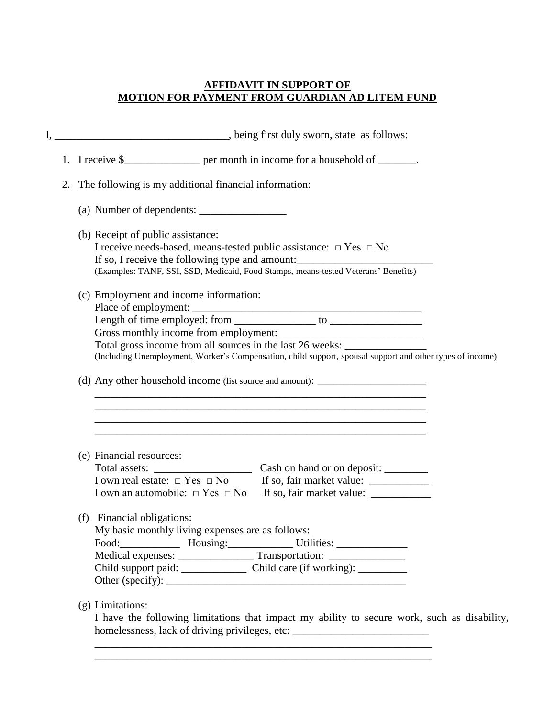## **AFFIDAVIT IN SUPPORT OF MOTION FOR PAYMENT FROM GUARDIAN AD LITEM FUND**

| 1. I receive \$____________________ per month in income for a household of _______.                                   |
|-----------------------------------------------------------------------------------------------------------------------|
| 2. The following is my additional financial information:                                                              |
|                                                                                                                       |
| (b) Receipt of public assistance:                                                                                     |
| I receive needs-based, means-tested public assistance: $\Box$ Yes $\Box$ No                                           |
| If so, I receive the following type and amount:_________________________________                                      |
| (Examples: TANF, SSI, SSD, Medicaid, Food Stamps, means-tested Veterans' Benefits)                                    |
| (c) Employment and income information:                                                                                |
|                                                                                                                       |
| Length of time employed: from $\frac{1}{\sqrt{1-\frac{1}{2}}}\$ to $\frac{1}{\sqrt{1-\frac{1}{2}}}\$                  |
| Gross monthly income from employment:                                                                                 |
| Total gross income from all sources in the last 26 weeks: _______________________                                     |
| (Including Unemployment, Worker's Compensation, child support, spousal support and other types of income)             |
| (d) Any other household income (list source and amount):                                                              |
| <u> 1989 - Johann Stoff, amerikansk politiker (d. 1989)</u>                                                           |
| <u> 1989 - Johann Stoff, deutscher Stoff, der Stoff, der Stoff, der Stoff, der Stoff, der Stoff, der Stoff, der S</u> |
| (e) Financial resources:                                                                                              |
|                                                                                                                       |
|                                                                                                                       |
| (f) Financial obligations:                                                                                            |
|                                                                                                                       |
| My basic monthly living expenses are as follows:                                                                      |
|                                                                                                                       |
| Medical expenses: ________________Transportation: ______________________________                                      |
|                                                                                                                       |

\_\_\_\_\_\_\_\_\_\_\_\_\_\_\_\_\_\_\_\_\_\_\_\_\_\_\_\_\_\_\_\_\_\_\_\_\_\_\_\_\_\_\_\_\_\_\_\_\_\_\_\_\_\_\_\_\_\_\_\_\_\_

homelessness, lack of driving privileges, etc: \_\_\_\_\_\_\_\_\_\_\_\_\_\_\_\_\_\_\_\_\_\_\_\_\_\_\_\_\_\_\_\_\_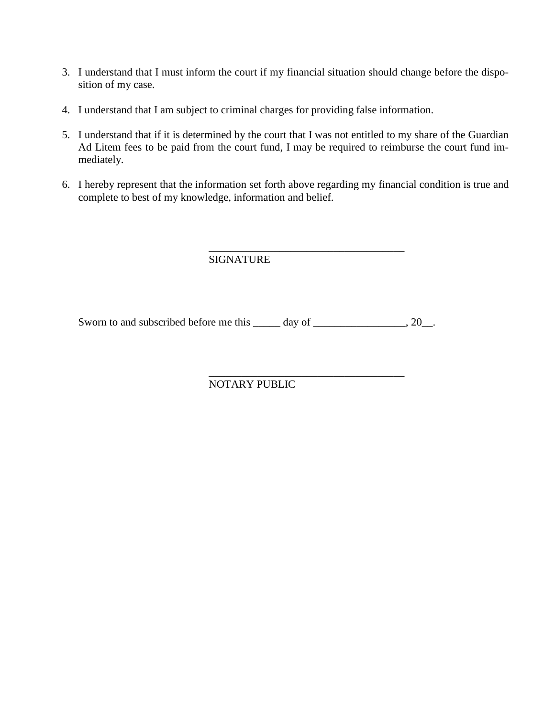- 3. I understand that I must inform the court if my financial situation should change before the disposition of my case.
- 4. I understand that I am subject to criminal charges for providing false information.
- 5. I understand that if it is determined by the court that I was not entitled to my share of the Guardian Ad Litem fees to be paid from the court fund, I may be required to reimburse the court fund immediately.
- 6. I hereby represent that the information set forth above regarding my financial condition is true and complete to best of my knowledge, information and belief.

#### \_\_\_\_\_\_\_\_\_\_\_\_\_\_\_\_\_\_\_\_\_\_\_\_\_\_\_\_\_\_\_\_\_\_\_\_ SIGNATURE

Sworn to and subscribed before me this \_\_\_\_\_ day of \_\_\_\_\_\_\_\_\_\_\_\_\_\_, 20\_\_.

## NOTARY PUBLIC

\_\_\_\_\_\_\_\_\_\_\_\_\_\_\_\_\_\_\_\_\_\_\_\_\_\_\_\_\_\_\_\_\_\_\_\_